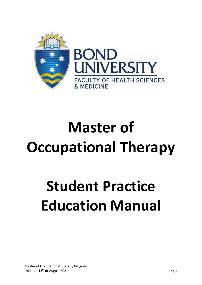

# **Master of Occupational Therapy**

# **Student Practice Education Manual**

Master of Occupational Therapy Program Updated  $13<sup>th</sup>$  of August 2021 pg. 1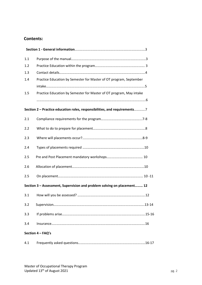## **Contents:**

| 1.1 |                                                                           |  |
|-----|---------------------------------------------------------------------------|--|
| 1.2 |                                                                           |  |
| 1.3 |                                                                           |  |
| 1.4 | Practice Education by Semester for Master of OT program, September        |  |
|     |                                                                           |  |
| 1.5 | Practice Education by Semester for Master of OT program, May intake       |  |
|     |                                                                           |  |
|     | Section 2 - Practice education roles, responsibilities, and requirements7 |  |
| 2.1 |                                                                           |  |
| 2.2 |                                                                           |  |
| 2.3 |                                                                           |  |
| 2.4 |                                                                           |  |
| 2.5 |                                                                           |  |
| 2.6 |                                                                           |  |
| 2.5 |                                                                           |  |
|     | Section 3 - Assessment, Supervision and problem solving on placement 12   |  |
| 3.1 |                                                                           |  |
| 3.2 |                                                                           |  |
| 3.3 |                                                                           |  |
| 3.4 |                                                                           |  |
|     | Section 4 - FAQ's                                                         |  |
| 4.1 |                                                                           |  |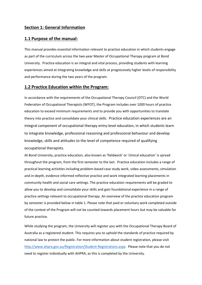### **Section 1: General Information**

#### **1.1 Purpose of the manual:**

This manual provides essential information relevant to practice education in which students engage as part of the curriculum across the two-year Master of Occupational Therapy program at Bond University. Practice education is an integral and vital process, providing students with learning experiences aimed at integrating knowledge and skills at progressively higher levels of responsibility and performance during the two years of the program.

#### **1.2 Practice Education within the Program:**

In accordance with the requirements of the Occupational Therapy Council (OTC) and the World Federation of Occupational Therapists (WFOT), the Program includes over 1000 hours of practice education to exceed minimum requirements and to provide you with opportunities to translate theory into practice and consolidate your clinical skills. Practice education experiences are an integral component of occupational therapy entry-level education, in which students learn to integrate knowledge, professional reasoning and professional behaviour and develop knowledge, skills and attitudes to the level of competence required of qualifying occupational therapists.

At Bond University, practice education, also known as 'fieldwork' or 'clinical education' is spread throughout the program, from the first semester to the last. Practice education includes a range of practical learning activities including problem-based case study work, video assessments, simulation and in-depth, evidence informed reflective practice and work integrated learning placements in community health and social care settings. The practice education requirements will be graded to allow you to develop and consolidate your skills and gain foundational experience in a range of practice settings relevant to occupational therapy. An overview of the practice education program by semester is provided below in table 1. Please note that paid or voluntary work completed outside of the context of the Program will not be counted towards placement hours but may be valuable for future practice.

While studying the program, the University will register you with the Occupational Therapy Board of Australia as a registered student. This requires you to uphold the standards of practice required by national law to protect the public. For more information about student registration, please visit [http://www.ahpra.gov.au/Registration/Student-Registrations.aspx.](http://www.ahpra.gov.au/Registration/Student-Registrations.aspx) Please note that you do not need to register individually with AHPRA, as this is completed by the University.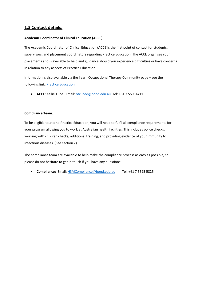## **1.3 Contact details:**

#### **Academic Coordinator of Clinical Education (ACCE):**

The Academic Coordinator of Clinical Education (ACCE)is the first point of contact for students, supervisors, and placement coordinators regarding Practice Education. The ACCE organises your placements and is available to help and guidance should you experience difficulties or have concerns in relation to any aspects of Practice Education.

Information is also available via the ilearn Occupational Therapy Community page – see the following link: Practice Education

• **ACCE:** Kellie Tune Email[: otclined@bond.edu.au](mailto:otclined@bond.edu.au) Tel: +61 7 55951411

#### **Compliance Team:**

To be eligible to attend Practice Education, you will need to fulfil all compliance requirements for your program allowing you to work at Australian health facilities. This includes police checks, working with children checks, additional training, and providing evidence of your immunity to infectious diseases. (See section 2)

The compliance team are available to help make the compliance process as easy as possible, so please do not hesitate to get in touch if you have any questions:

• **Compliance:** Email: [HSMCompliance@bond.edu.au](mailto:HSMCompliance@bond.edu.au) Tel: +61 7 5595 5825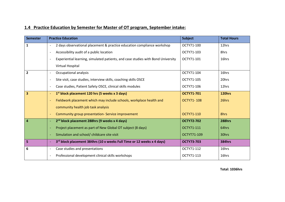| <b>Semester</b> | <b>Practice Education</b>                                                                                    | <b>Subject</b>    | <b>Total Hours</b> |
|-----------------|--------------------------------------------------------------------------------------------------------------|-------------------|--------------------|
| 1               | 2 days observational placement & practice education compliance workshop<br>$\overline{\phantom{a}}$          | OCTY71-100        | 12hrs              |
|                 | Accessibility audit of a public location<br>$\overline{\phantom{a}}$                                         | OCTY71-103        | 8hrs               |
|                 | Experiential learning, simulated patients, and case studies with Bond University<br>$\overline{\phantom{a}}$ | OCTY71-101        | 16hrs              |
|                 | Virtual Hospital                                                                                             |                   |                    |
| $\overline{2}$  | Occupational analysis<br>$\overline{\phantom{a}}$                                                            | OCTY71-104        | 16hrs              |
|                 | Site visit, case studies, interview skills, coaching skills OSCE<br>$\overline{\phantom{a}}$                 | OCTY71-105        | 20hrs              |
|                 | Case studies, Patient Safety OSCE, clinical skills modules<br>$\overline{\phantom{a}}$                       | OCTY71-106        | 12hrs              |
| 3               | $1st$ block placement 120 hrs (5 weeks x 3 days)<br>$\overline{\phantom{a}}$                                 | <b>OCTY71-701</b> | 120hrs             |
|                 | Fieldwork placement which may include schools, workplace health and<br>$\overline{\phantom{a}}$              | OCTY71-108        | 26hrs              |
|                 | community health job task analysis                                                                           |                   |                    |
|                 | Community group presentation- Service improvement<br>$\overline{\phantom{a}}$                                | OCTY71-110        | 8hrs               |
| $\overline{4}$  | 2 <sup>nd</sup> block placement 288hrs (9 weeks x 4 days)                                                    | <b>OCTY72-702</b> | 288hrs             |
|                 | Project placement as part of New Global OT subject (8 days)                                                  | OCTY71-111        | 64hrs              |
|                 | Simulation and school/ childcare site visit                                                                  | OCTYT71-109       | 30hrs              |
| 5               | 3rd block placement 384hrs (10 x weeks Full Time or 12 weeks x 4 days)<br>$\overline{\phantom{a}}$           | <b>OCTY73-703</b> | <b>384hrs</b>      |
| 6               | Case studies and presentations<br>$\overline{\phantom{a}}$                                                   | OCTY71-112        | 16hrs              |
|                 | Professional development clinical skills workshops                                                           | OCTY71-113        | 16hrs              |

## **1.4 Practice Education by Semester for Master of OT program, September intake:**

**Total: 1036hrs**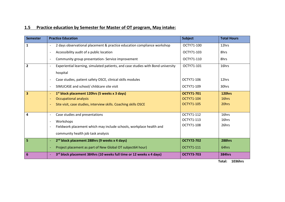| 1.5 Practice education by Semester for Master of OT program, May intake: |  |
|--------------------------------------------------------------------------|--|
|--------------------------------------------------------------------------|--|

| <b>Semester</b> | <b>Practice Education</b>                                                                                    | <b>Subject</b>    | <b>Total Hours</b> |
|-----------------|--------------------------------------------------------------------------------------------------------------|-------------------|--------------------|
| $\mathbf{1}$    | 2 days observational placement & practice education compliance workshop<br>$\overline{\phantom{a}}$          | OCTY71-100        | 12hrs              |
|                 | Accessibility audit of a public location<br>$\overline{\phantom{a}}$                                         | OCTY71-103        | 8hrs               |
|                 | Community group presentation- Service improvement<br>$\overline{\phantom{a}}$                                | OCTY71-110        | 8hrs               |
| $\overline{2}$  | Experiential learning, simulated patients, and case studies with Bond university<br>$\overline{\phantom{a}}$ | OCTY71-101        | 16hrs              |
|                 | hospital                                                                                                     |                   |                    |
|                 | Case studies, patient safety OSCE, clinical skills modules<br>$\overline{\phantom{a}}$                       | OCTY71-106        | 12hrs              |
|                 | SIMUCASE and school/ childcare site visit<br>$\overline{\phantom{a}}$                                        | OCTY71-109        | 30hrs              |
| 3               | $1st$ block placement 120hrs (5 weeks x 3 days)<br>$\overline{\phantom{a}}$                                  | <b>OCTY71-701</b> | 120hrs             |
|                 | <b>Occupational analysis</b><br>$\overline{\phantom{a}}$                                                     | OCTY71-104        | 16hrs              |
|                 | Site visit, case studies, interview skills. Coaching skills OSCE<br>$\blacksquare$                           | OCTY71-105        | 20hrs              |
|                 |                                                                                                              |                   |                    |
| 4               | Case studies and presentations<br>$\overline{\phantom{a}}$                                                   | OCTY71-112        | 16hrs              |
|                 | Workshops<br>$\overline{\phantom{a}}$                                                                        | OCTY71-113        | 16hrs              |
|                 | Fieldwork placement which may include schools, workplace health and<br>$\overline{\phantom{a}}$              | OCTY71-108        | 26hrs              |
|                 | community health job task analysis                                                                           |                   |                    |
| 5               | 2 <sup>nd</sup> block placement 288hrs (9 weeks x 4 days)<br>$\overline{\phantom{a}}$                        | <b>OCTY72-702</b> | 288hrs             |
|                 | Project placement as part of New Global OT subject64 hour)                                                   | OCTY71-111        | 64hrs              |
| 6               | 3rd block placement 384hrs (10 weeks full time or 12 weeks x 4 days)                                         | <b>OCTY73-703</b> | <b>384hrs</b>      |

 **Total: 1036hrs**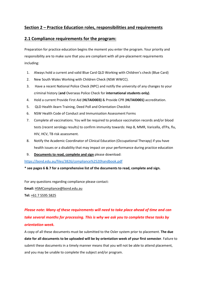## **Section 2 – Practice Education roles, responsibilities and requirements**

## **2.1 Compliance requirements for the program:**

Preparation for practice education begins the moment you enter the program. Your priority and responsibility are to make sure that you are compliant with all pre-placement requirements including:

- 1. Always hold a current and valid Blue Card QLD Working with Children's check (Blue Card)
- 2. New South Wales Working with Children Check (NSW WWCC).
- 3. Have a recent National Police Check (NPC) and notify the university of any changes to your criminal history (**and** Overseas Police Check for **international students only)**.
- 4. Hold a current Provide First Aid (**HLTAID003)** & Provide CPR (**HLTAID001)** accreditation.
- 5. QLD Health ilearn Training, Deed Poll and Orientation Checklist
- 6. NSW Health Code of Conduct and Immunisation Assessment Forms
- 7. Complete all vaccinations. You will be required to produce vaccination records and/or blood tests (recent serology results) to confirm immunity towards: Hep B, MMR, Varicella, dTPa, flu, HIV, HCV, TB risk assessment.
- 8. Notify the Academic Coordinator of Clinical Education (Occupational Therapy) if you have health issues or a disability that may impact on your performance during practice education
- 9. **Documents to read, complete and sign** please download:

<https://bond.edu.au/files/3826/compliance%2520handbook.pdf>

**\* see pages 6 & 7 for a comprehensive list of the documents to read, complete and sign.** 

For any questions regarding compliance please contact:

**Email:** [HSMCompliance@bond.edu.au](mailto:HSMCompliance@bond.edu.au?subject=Compliance)

**Tel:** [+61 7 5595 5825](tel:+61755955825)

## *Please note: Many of these requirements will need to take place ahead of time and can take several months for processing. This is why we ask you to complete these tasks by orientation week.*

A copy of all these documents must be submitted to the Osler system prior to placement. **The due date for all documents to be uploaded will be by orientation week of your first semester**. Failure to submit these documents in a timely manner means that you will not be able to attend placement, and you may be unable to complete the subject and/or program.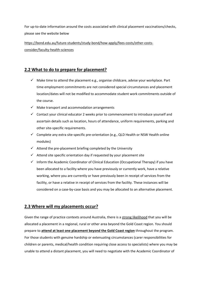For up-to-date information around the costs associated with clinical placement vaccinations/checks, please see the website below

[https://bond.edu.au/future-students/study-bond/how-apply/fees-costs/other-costs](https://bond.edu.au/future-students/study-bond/how-apply/fees-costs/other-costs-consider/faculty-health-sciences)[consider/faculty-health-sciences](https://bond.edu.au/future-students/study-bond/how-apply/fees-costs/other-costs-consider/faculty-health-sciences)

## **2.2 What to do to prepare for placement?**

- $\checkmark$  Make time to attend the placement e.g., organise childcare, advise your workplace. Part time employment commitments are not considered special circumstances and placement location/dates will not be modified to accommodate student work commitments outside of the course.
- $\checkmark$  Make transport and accommodation arrangements
- $\checkmark$  Contact your clinical educator 2 weeks prior to commencement to introduce yourself and ascertain details such as location, hours of attendance, uniform requirements, parking and other site-specific requirements.
- $\checkmark$  Complete any extra site-specific pre-orientation (e.g., QLD Health or NSW Health online modules)
- $\checkmark$  Attend the pre-placement briefing completed by the University
- $\checkmark$  Attend site specific orientation day if requested by your placement site
- $\checkmark$  Inform the Academic Coordinator of Clinical Education (Occupational Therapy) if you have been allocated to a facility where you have previously or currently work, have a relative working, where you are currently or have previously been in receipt of services from the facility, or have a relative in receipt of services from the facility. These instances will be considered on a case-by-case basis and you may be allocated to an alternative placement.

## **2.3 Where will my placements occur?**

Given the range of practice contexts around Australia, there is a strong likelihood that you will be allocated a placement in a regional, rural or other area beyond the Gold Coast region. You should prepare to **attend at least one placement beyond the Gold Coast region** throughout the program. For those students with genuine hardship or extenuating circumstances (carer responsibilities for children or parents, medical/health condition requiring close access to specialists) where you may be unable to attend a distant placement, you will need to negotiate with the Academic Coordinator of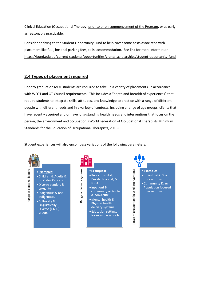Clinical Education (Occupational Therapy) prior to or on commencement of the Program, or as early as reasonably practicable.

Consider applying to the Student Opportunity Fund to help cover some costs associated with placement like fuel, hospital parking fees, tolls, accommodation. See link for more information <https://bond.edu.au/current-students/opportunities/grants-scholarships/student-opportunity-fund>

## **2.4 Types of placement required**

Prior to graduation MOT students are required to take up a variety of placements, in accordance with WFOT and OT Council requirements. This includes a "depth and breadth of experiences" that require students to integrate skills, attitudes, and knowledge to practice with a range of different people with different needs and in a variety of contexts. Including a range of age groups, clients that have recently acquired and or have long-standing health needs and interventions that focus on the person, the environment and occupation. (World Federation of Occupational Therapists Minimum Standards for the Education of Occupational Therapists, 2016).

Student experiences will also encompass variations of the following parameters:

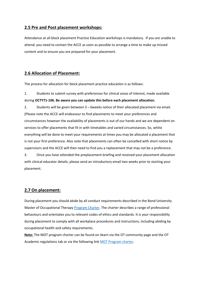## **2.5 Pre and Post placement workshops:**

Attendance at all block placement Practice Education workshops is mandatory. If you are unable to attend, you need to contact the ACCE as soon as possible to arrange a time to make up missed content and to ensure you are prepared for your placement.

## **2.6 Allocation of Placement:**

The process for allocation for block placement practice education is as follows:

1. Students to submit survey with preferences for clinical areas of interest, made available during **OCTY71-106. Be aware you can update this before each placement allocation.**

2. Students will be given between 3 – 6weeks notice of their allocated placement via email. (Please note the ACCE will endeavour to find placements to meet your preferences and circumstances however the availability of placements is out of our hands and we are dependent on services to offer placements that fit in with timetables and varied circumstances. So, whilst everything will be done to meet your requirements at times you may be allocated a placement that is not your first preference. Also note that placements can often be cancelled with short notice by supervisors and the ACCE will then need to find you a replacement that may not be a preference.

3. Once you have attended the preplacement briefing and received your placement allocation with clinical educator details, please send an introductory email two weeks prior to starting your placement.

## **2.7 On placement:**

During placement you should abide by all conduct requirements described in the Bond University Master of Occupational Therap[y Program Charter.](https://bond.edu.au/search/about-bond?search=Student+Charter&category=) The charter describes a range of professional behaviours and orientates you to relevant codes of ethics and standards. It is your responsibility during placement to comply with all workplace procedures and instructions, including abiding by occupational health and safety requirements.

**Note:** The MOT program charter can be found on ilearn via the OT community page and the OT Academic regulations tab or via the following link MOT Program charter.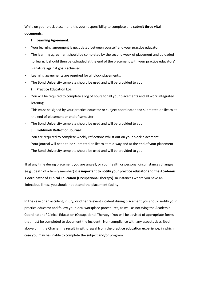While on your block placement it is your responsibility to complete and **submit three vital documents**:

#### **1. Learning Agreement:**

- Your learning agreement is negotiated between yourself and your practice educator.
- The learning agreement should be completed by the second week of placement and uploaded to ilearn. It should then be uploaded at the end of the placement with your practice educators' signature against goals achieved.
- Learning agreements are required for all block placements.
- The Bond University template should be used and will be provided to you.

#### **2. Practice Education Log:**

- You will be required to complete a log of hours for all your placements and all work integrated learning.
- This must be signed by your practice educator or subject coordinator and submitted on ilearn at the end of placement or end of semester.
- The Bond University template should be used and will be provided to you.

#### **3. Fieldwork Reflection Journal:**

- You are required to complete weekly reflections whilst out on your block placement.
- Your journal will need to be submitted on ilearn at mid-way and at the end of your placement
- The Bond University template should be used and will be provided to you.

If at any time during placement you are unwell, or your health or personal circumstances changes (e.g., death of a family member) it is **important to notify your practice educator and the Academic Coordinator of Clinical Education (Occupational Therapy).** In instances where you have an infectious illness you should not attend the placement facility.

In the case of an accident, injury, or other relevant incident during placement you should notify your practice educator and follow your local workplace procedures, as well as notifying the Academic Coordinator of Clinical Education (Occupational Therapy). You will be advised of appropriate forms that must be completed to document the incident. Non-compliance with any aspects described above or in the Charter my **result in withdrawal from the practice education experience**, in which case you may be unable to complete the subject and/or program.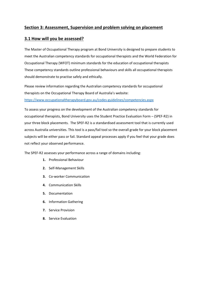## **Section 3: Assessment, Supervision and problem solving on placement**

## **3.1 How will you be assessed?**

The Master of Occupational Therapy program at Bond University is designed to prepare students to meet the Australian competency standards for occupational therapists and the World Federation for Occupational Therapy (WFOT) minimum standards for the education of occupational therapists These competency standards outline professional behaviours and skills all occupational therapists should demonstrate to practise safely and ethically.

Please review information regarding the Australian competency standards for occupational therapists on the Occupational Therapy Board of Australia's website:

<https://www.occupationaltherapyboard.gov.au/codes-guidelines/competencies.aspx>

To assess your progress on the development of the Australian competency standards for occupational therapists, Bond University uses the Student Practice Evaluation Form – (SPEF-R2) in your three block placements. The SPEF-R2 is a standardised assessment tool that is currently used across Australia universities. This tool is a pass/fail tool so the overall grade for your block placement subjects will be either pass or fail. Standard appeal processes apply if you feel that your grade does not reflect your observed performance.

The SPEF-R2 assesses your performance across a range of domains including:

- **1.** Professional Behaviour
- **2.** Self-Management Skills
- **3.** Co-worker Communication
- **4.** Communication Skills
- **5.** Documentation
- **6.** Information Gathering
- **7.** Service Provision
- **8.** Service Evaluation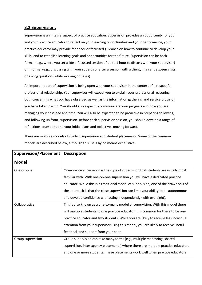## **3.2 Supervision:**

Supervision is an integral aspect of practice education. Supervision provides an opportunity for you and your practice educator to reflect on your learning opportunities and your performance, your practice educator may provide feedback or focussed guidance on how to continue to develop your skills, and to establish learning goals and opportunities for the future. Supervision can be both formal (e.g., where you set aside a focussed session of up to 1 hour to discuss with your supervisor) or informal (e.g., discussing with your supervisor after a session with a client, in a car between visits, or asking questions while working on tasks).

An important part of supervision is being open with your supervisor in the context of a respectful, professional relationship. Your supervisor will expect you to explain your professional reasoning, both concerning what you have observed as well as the information gathering and service provision you have taken part in. You should also expect to communicate your progress and how you are managing your caseload and time. You will also be expected to be proactive in preparing following, and following up from, supervision. Before each supervision session, you should develop a range of reflections, questions and your initial plans and objectives moving forward.

There are multiple models of student supervision and student placements. Some of the common models are described below, although this list is by no means exhaustive.

| <b>Supervision/Placement</b> | <b>Description</b>                                                                  |  |  |
|------------------------------|-------------------------------------------------------------------------------------|--|--|
| <b>Model</b>                 |                                                                                     |  |  |
| One-on-one                   | One-on-one supervision is the style of supervision that students are usually most   |  |  |
|                              | familiar with. With one-on-one supervision you will have a dedicated practice       |  |  |
|                              | educator. While this is a traditional model of supervision, one of the drawbacks of |  |  |
|                              | the approach is that the close supervision can limit your ability to be autonomous  |  |  |
|                              | and develop confidence with acting independently (with oversight).                  |  |  |
| Collaborative                | This is also known as a one-to-many model of supervision. With this model there     |  |  |
|                              | will multiple students to one practice educator. It is common for there to be one   |  |  |
|                              | practice educator and two students. While you are likely to receive less individual |  |  |
|                              | attention from your supervisor using this model, you are likely to receive useful   |  |  |
|                              | feedback and support from your peer.                                                |  |  |
| Group supervision            | Group supervision can take many forms (e.g., multiple mentoring, shared             |  |  |
|                              | supervision, inter-agency placements) where there are multiple practice educators   |  |  |
|                              | and one or more students. These placements work well when practice educators        |  |  |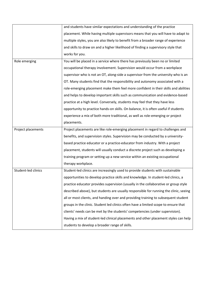|                     | and students have similar expectations and understanding of the practice              |
|---------------------|---------------------------------------------------------------------------------------|
|                     | placement. While having multiple supervisors means that you will have to adapt to     |
|                     | multiple styles, you are also likely to benefit from a broader range of experience    |
|                     | and skills to draw on and a higher likelihood of finding a supervisory style that     |
|                     | works for you.                                                                        |
| Role emerging       | You will be placed in a service where there has previously been no or limited         |
|                     | occupational therapy involvement. Supervision would occur from a workplace            |
|                     | supervisor who is not an OT, along-side a supervisor from the university who is an    |
|                     | OT. Many students find that the responsibility and autonomy associated with a         |
|                     | role-emerging placement make them feel more confident in their skills and abilities   |
|                     | and helps to develop important skills such as communication and evidence-based        |
|                     | practice at a high level. Conversely, students may feel that they have less           |
|                     | opportunity to practice hands-on skills. On balance, it is often useful if students   |
|                     | experience a mix of both more traditional, as well as role-emerging or project        |
|                     | placements.                                                                           |
| Project placements  | Project placements are like role-emerging placement in regard to challenges and       |
|                     | benefits, and supervision styles. Supervision may be conducted by a university-       |
|                     | based practice educator or a practice-educator from industry. With a project          |
|                     | placement, students will usually conduct a discrete project such as developing a      |
|                     | training program or setting up a new service within an existing occupational          |
|                     | therapy workplace.                                                                    |
| Student-led clinics | Student-led clinics are increasingly used to provide students with sustainable        |
|                     | opportunities to develop practice skills and knowledge. In student-led clinics, a     |
|                     | practice educator provides supervision (usually in the collaborative or group style   |
|                     | described above), but students are usually responsible for running the clinic, seeing |
|                     | all or most clients, and handing over and providing training to subsequent student    |
|                     | groups in the clinic. Student led clinics often have a limited scope to ensure that   |
|                     | clients' needs can be met by the students' competencies (under supervision).          |
|                     | Having a mix of student-led clinical placements and other placement styles can help   |
|                     | students to develop a broader range of skills.                                        |
|                     |                                                                                       |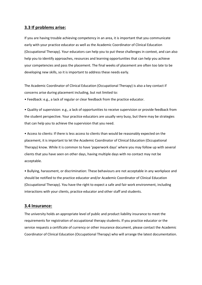### **3.3 If problems arise:**

If you are having trouble achieving competency in an area, it is important that you communicate early with your practice educator as well as the Academic Coordinator of Clinical Education (Occupational Therapy). Your educators can help you to put these challenges in context, and can also help you to identify approaches, resources and learning opportunities that can help you achieve your competencies and pass the placement. The final weeks of placement are often too late to be developing new skills, so it is important to address these needs early.

The Academic Coordinator of Clinical Education (Occupational Therapy) is also a key contact if concerns arise during placement including, but not limited to:

• Feedback: e.g., a lack of regular or clear feedback from the practice educator.

• Quality of supervision: e.g., a lack of opportunities to receive supervision or provide feedback from the student perspective. Your practice educators are usually very busy, but there may be strategies that can help you to achieve the supervision that you need.

• Access to clients: If there is less access to clients than would be reasonably expected on the placement, it is important to let the Academic Coordinator of Clinical Education (Occupational Therapy) know. While it is common to have 'paperwork days' where you may follow up with several clients that you have seen on other days, having multiple days with no contact may not be acceptable.

• Bullying, harassment, or discrimination: These behaviours are not acceptable in any workplace and should be notified to the practice educator and/or Academic Coordinator of Clinical Education (Occupational Therapy). You have the right to expect a safe and fair work environment, including interactions with your clients, practice educator and other staff and students.

#### **3.4 Insurance:**

The university holds an appropriate level of public and product liability insurance to meet the requirements for registration of occupational therapy students. If you practice educator or the service requests a certificate of currency or other insurance document, please contact the Academic Coordinator of Clinical Education (Occupational Therapy) who will arrange the latest documentation.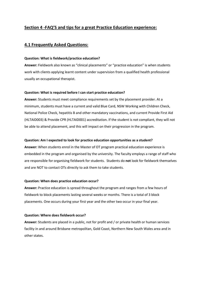## **Section 4 -FAQ'S and tips for a great Practice Education experience:**

## **4.1 Frequently Asked Questions:**

#### **Question: What is fieldwork/practice education?**

**Answer:** Fieldwork also known as "clinical placements" or "practice education" is when students work with clients applying learnt content under supervision from a qualified health professional usually an occupational therapist.

#### **Question: What is required before I can start practice education?**

**Answer:** Students must meet compliance requirements set by the placement provider. At a minimum, students must have a current and valid Blue Card, NSW Working with Children Check, National Police Check, hepatitis B and other mandatory vaccinations, and current Provide First Aid (HLTAID003) & Provide CPR (HLTAID001) accreditation. If the student is not compliant, they will not be able to attend placement, and this will impact on their progression in the program.

#### **Question: Am I expected to look for practice education opportunities as a student?**

**Answer:** When students enrol in the Master of OT program practical education experience is embedded in the program and organised by the university. The faculty employs a range of staff who are responsible for organising fieldwork for students. Students do **not** look for fieldwork themselves and are NOT to contact OTs directly to ask them to take students.

#### **Question: When does practice education occur?**

**Answer:** Practice education is spread throughout the program and ranges from a few hours of fieldwork to block placements lasting several weeks or months. There is a total of 3 block placements. One occurs during your first year and the other two occur in your final year.

#### **Question: Where does fieldwork occur?**

**Answer:** Students are placed in a public, not for profit and / or private health or human services facility in and around Brisbane metropolitan, Gold Coast, Northern New South Wales area and in other states.